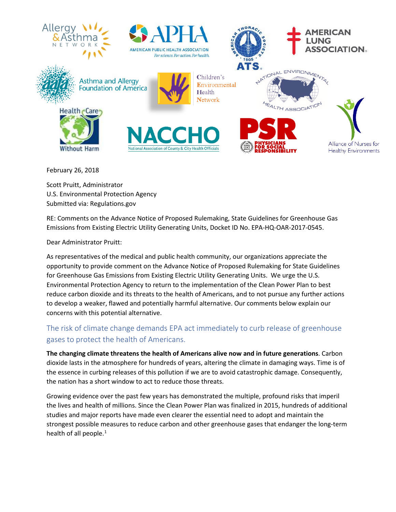

February 26, 2018

Scott Pruitt, Administrator U.S. Environmental Protection Agency Submitted via: Regulations.gov

RE: Comments on the Advance Notice of Proposed Rulemaking, State Guidelines for Greenhouse Gas Emissions from Existing Electric Utility Generating Units, Docket ID No. EPA-HQ-OAR-2017-0545.

Dear Administrator Pruitt:

As representatives of the medical and public health community, our organizations appreciate the opportunity to provide comment on the Advance Notice of Proposed Rulemaking for State Guidelines for Greenhouse Gas Emissions from Existing Electric Utility Generating Units. We urge the U.S. Environmental Protection Agency to return to the implementation of the Clean Power Plan to best reduce carbon dioxide and its threats to the health of Americans, and to not pursue any further actions to develop a weaker, flawed and potentially harmful alternative. Our comments below explain our concerns with this potential alternative.

# The risk of climate change demands EPA act immediately to curb release of greenhouse gases to protect the health of Americans.

**The changing climate threatens the health of Americans alive now and in future generations**. Carbon dioxide lasts in the atmosphere for hundreds of years, altering the climate in damaging ways. Time is of the essence in curbing releases of this pollution if we are to avoid catastrophic damage. Consequently, the nation has a short window to act to reduce those threats.

Growing evidence over the past few years has demonstrated the multiple, profound risks that imperil the lives and health of millions. Since the Clean Power Plan was finalized in 2015, hundreds of additional studies and major reports have made even clearer the essential need to adopt and maintain the strongest possible measures to reduce carbon and other greenhouse gases that endanger the long-term health of all people. $<sup>1</sup>$  $<sup>1</sup>$  $<sup>1</sup>$ </sup>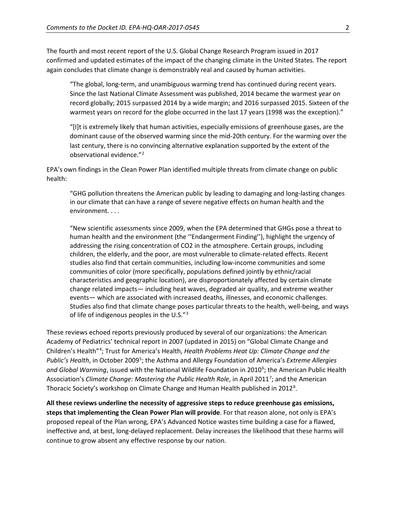The fourth and most recent report of the U.S. Global Change Research Program issued in 2017 confirmed and updated estimates of the impact of the changing climate in the United States. The report again concludes that climate change is demonstrably real and caused by human activities.

"The global, long-term, and unambiguous warming trend has continued during recent years. Since the last National Climate Assessment was published, 2014 became the warmest year on record globally; 2015 surpassed 2014 by a wide margin; and 2016 surpassed 2015. Sixteen of the warmest years on record for the globe occurred in the last 17 years (1998 was the exception)."

"[I]t is extremely likely that human activities, especially emissions of greenhouse gases, are the dominant cause of the observed warming since the mid-20th century. For the warming over the last century, there is no convincing alternative explanation supported by the extent of the observational evidence.["2](#page-5-1)

EPA's own findings in the Clean Power Plan identified multiple threats from climate change on public health:

"GHG pollution threatens the American public by leading to damaging and long-lasting changes in our climate that can have a range of severe negative effects on human health and the environment. . . .

"New scientific assessments since 2009, when the EPA determined that GHGs pose a threat to human health and the environment (the ''Endangerment Finding''), highlight the urgency of addressing the rising concentration of CO2 in the atmosphere. Certain groups, including children, the elderly, and the poor, are most vulnerable to climate-related effects. Recent studies also find that certain communities, including low-income communities and some communities of color (more specifically, populations defined jointly by ethnic/racial characteristics and geographic location), are disproportionately affected by certain climate change related impacts— including heat waves, degraded air quality, and extreme weather events— which are associated with increased deaths, illnesses, and economic challenges. Studies also find that climate change poses particular threats to the health, well-being, and ways of life of indigenous peoples in the U.S."[3](#page-5-2)

These reviews echoed reports previously produced by several of our organizations: the American Academy of Pediatrics' technical report in 2007 (updated in 2015) on "Global Climate Change and Children's Health<sup>"[4](#page-5-3)</sup>; Trust for America's Health, *Health Problems Heat Up: Climate Change and the* Public's Health, in October 2009<sup>[5](#page-5-4)</sup>; the Asthma and Allergy Foundation of America's *Extreme Allergies* and Global Warming, issued with the National Wildlife Foundation in 2010<sup>[6](#page-5-5)</sup>; the American Public Health Association's *Climate Change: Mastering the Public Health Role*, in April 2011<sup>[7](#page-5-6)</sup>; and the American Thoracic Society's workshop on Climate Change and Human Health published in 2012<sup>[8](#page-5-7)</sup>.

**All these reviews underline the necessity of aggressive steps to reduce greenhouse gas emissions, steps that implementing the Clean Power Plan will provide**. For that reason alone, not only is EPA's proposed repeal of the Plan wrong, EPA's Advanced Notice wastes time building a case for a flawed, ineffective and, at best, long-delayed replacement. Delay increases the likelihood that these harms will continue to grow absent any effective response by our nation.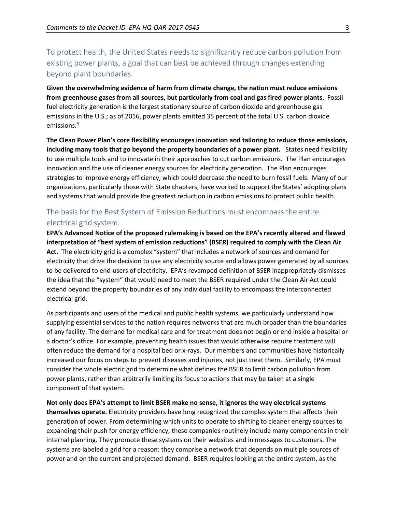To protect health, the United States needs to significantly reduce carbon pollution from existing power plants, a goal that can best be achieved through changes extending beyond plant boundaries.

**Given the overwhelming evidence of harm from climate change, the nation must reduce emissions from greenhouse gases from all sources, but particularly from coal and gas fired power plants**. Fossil fuel electricity generation is the largest stationary source of carbon dioxide and greenhouse gas emissions in the U.S.; as of 2016, power plants emitted 35 percent of the total U.S. carbon dioxide emissions.<sup>[9](#page-5-8)</sup>

**The Clean Power Plan's core flexibility encourages innovation and tailoring to reduce those emissions, including many tools that go beyond the property boundaries of a power plant.** States need flexibility to use multiple tools and to innovate in their approaches to cut carbon emissions. The Plan encourages innovation and the use of cleaner energy sources for electricity generation. The Plan encourages strategies to improve energy efficiency, which could decrease the need to burn fossil fuels. Many of our organizations, particularly those with State chapters, have worked to support the States' adopting plans and systems that would provide the greatest reduction in carbon emissions to protect public health.

## The basis for the Best System of Emission Reductions must encompass the entire electrical grid system.

**EPA's Advanced Notice of the proposed rulemaking is based on the EPA's recently altered and flawed interpretation of "best system of emission reductions" (BSER) required to comply with the Clean Air Act.** The electricity grid is a complex "system" that includes a network of sources and demand for electricity that drive the decision to use any electricity source and allows power generated by all sources to be delivered to end-users of electricity. EPA's revamped definition of BSER inappropriately dismisses the idea that the "system" that would need to meet the BSER required under the Clean Air Act could extend beyond the property boundaries of any individual facility to encompass the interconnected electrical grid.

As participants and users of the medical and public health systems, we particularly understand how supplying essential services to the nation requires networks that are much broader than the boundaries of any facility. The demand for medical care and for treatment does not begin or end inside a hospital or a doctor's office. For example, preventing health issues that would otherwise require treatment will often reduce the demand for a hospital bed or x-rays. Our members and communities have historically increased our focus on steps to prevent diseases and injuries, not just treat them. Similarly, EPA must consider the whole electric grid to determine what defines the BSER to limit carbon pollution from power plants, rather than arbitrarily limiting its focus to actions that may be taken at a single component of that system.

**Not only does EPA's attempt to limit BSER make no sense, it ignores the way electrical systems themselves operate.** Electricity providers have long recognized the complex system that affects their generation of power. From determining which units to operate to shifting to cleaner energy sources to expanding their push for energy efficiency, these companies routinely include many components in their internal planning. They promote these systems on their websites and in messages to customers. The systems are labeled a grid for a reason: they comprise a network that depends on multiple sources of power and on the current and projected demand. BSER requires looking at the entire system, as the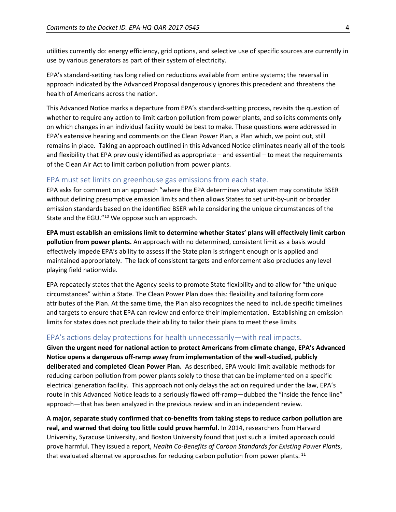utilities currently do: energy efficiency, grid options, and selective use of specific sources are currently in use by various generators as part of their system of electricity.

EPA's standard-setting has long relied on reductions available from entire systems; the reversal in approach indicated by the Advanced Proposal dangerously ignores this precedent and threatens the health of Americans across the nation.

This Advanced Notice marks a departure from EPA's standard-setting process, revisits the question of whether to require any action to limit carbon pollution from power plants, and solicits comments only on which changes in an individual facility would be best to make. These questions were addressed in EPA's extensive hearing and comments on the Clean Power Plan, a Plan which, we point out, still remains in place. Taking an approach outlined in this Advanced Notice eliminates nearly all of the tools and flexibility that EPA previously identified as appropriate – and essential – to meet the requirements of the Clean Air Act to limit carbon pollution from power plants.

### EPA must set limits on greenhouse gas emissions from each state.

EPA asks for comment on an approach "where the EPA determines what system may constitute BSER without defining presumptive emission limits and then allows States to set unit-by-unit or broader emission standards based on the identified BSER while considering the unique circumstances of the State and the EGU."<sup>[10](#page-5-9)</sup> We oppose such an approach.

**EPA must establish an emissions limit to determine whether States' plans will effectively limit carbon pollution from power plants.** An approach with no determined, consistent limit as a basis would effectively impede EPA's ability to assess if the State plan is stringent enough or is applied and maintained appropriately. The lack of consistent targets and enforcement also precludes any level playing field nationwide.

EPA repeatedly states that the Agency seeks to promote State flexibility and to allow for "the unique circumstances" within a State. The Clean Power Plan does this: flexibility and tailoring form core attributes of the Plan. At the same time, the Plan also recognizes the need to include specific timelines and targets to ensure that EPA can review and enforce their implementation. Establishing an emission limits for states does not preclude their ability to tailor their plans to meet these limits.

#### EPA's actions delay protections for health unnecessarily—with real impacts.

**Given the urgent need for national action to protect Americans from climate change, EPA's Advanced Notice opens a dangerous off-ramp away from implementation of the well-studied, publicly deliberated and completed Clean Power Plan.** As described, EPA would limit available methods for reducing carbon pollution from power plants solely to those that can be implemented on a specific electrical generation facility. This approach not only delays the action required under the law, EPA's route in this Advanced Notice leads to a seriously flawed off-ramp—dubbed the "inside the fence line" approach—that has been analyzed in the previous review and in an independent review.

**A major, separate study confirmed that co-benefits from taking steps to reduce carbon pollution are real, and warned that doing too little could prove harmful.** In 2014, researchers from Harvard University, Syracuse University, and Boston University found that just such a limited approach could prove harmful. They issued a report, *Health Co-Benefits of Carbon Standards for Existing Power Plants*, that evaluated alternative approaches for reducing carbon pollution from power plants.<sup>[11](#page-5-10)</sup>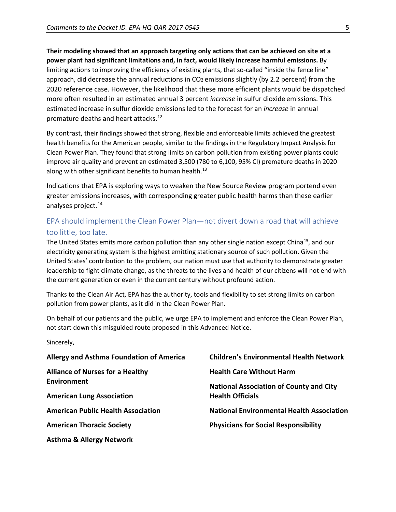**Their modeling showed that an approach targeting only actions that can be achieved on site at a power plant had significant limitations and, in fact, would likely increase harmful emissions.** By limiting actions to improving the efficiency of existing plants, that so-called "inside the fence line" approach, did decrease the annual reductions in CO2 emissions slightly (by 2.2 percent) from the 2020 reference case. However, the likelihood that these more efficient plants would be dispatched more often resulted in an estimated annual 3 percent *increase* in sulfur dioxide emissions. This estimated increase in sulfur dioxide emissions led to the forecast for an *increase* in annual premature deaths and heart attacks. [12](#page-5-11)

By contrast, their findings showed that strong, flexible and enforceable limits achieved the greatest health benefits for the American people, similar to the findings in the Regulatory Impact Analysis for Clean Power Plan. They found that strong limits on carbon pollution from existing power plants could improve air quality and prevent an estimated 3,500 (780 to 6,100, 95% CI) premature deaths in 2020 along with other significant benefits to human health.<sup>[13](#page-5-12)</sup>

Indications that EPA is exploring ways to weaken the New Source Review program portend even greater emissions increases, with corresponding greater public health harms than these earlier analyses project.<sup>[14](#page-5-13)</sup>

### EPA should implement the Clean Power Plan—not divert down a road that will achieve too little, too late.

The United States emits more carbon pollution than any other single nation except China<sup>15</sup>, and our electricity generating system is the highest emitting stationary source of such pollution. Given the United States' contribution to the problem, our nation must use that authority to demonstrate greater leadership to fight climate change, as the threats to the lives and health of our citizens will not end with the current generation or even in the current century without profound action.

Thanks to the Clean Air Act, EPA has the authority, tools and flexibility to set strong limits on carbon pollution from power plants, as it did in the Clean Power Plan.

On behalf of our patients and the public, we urge EPA to implement and enforce the Clean Power Plan, not start down this misguided route proposed in this Advanced Notice.

Sincerely,

| Allergy and Asthma Foundation of America               | <b>Children's Environmental Health Network</b>   |
|--------------------------------------------------------|--------------------------------------------------|
| <b>Alliance of Nurses for a Healthy</b><br>Environment | <b>Health Care Without Harm</b>                  |
|                                                        | <b>National Association of County and City</b>   |
| <b>American Lung Association</b>                       | <b>Health Officials</b>                          |
| <b>American Public Health Association</b>              | <b>National Environmental Health Association</b> |
| <b>American Thoracic Society</b>                       | <b>Physicians for Social Responsibility</b>      |
| <b>Asthma &amp; Allergy Network</b>                    |                                                  |